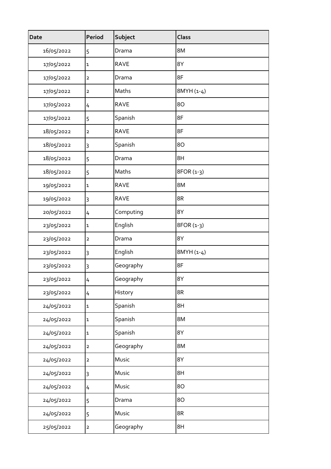| <b>Date</b> | Period         | Subject     | <b>Class</b> |
|-------------|----------------|-------------|--------------|
| 16/05/2022  | 5              | Drama       | 8M           |
| 17/05/2022  | $\mathbf 1$    | <b>RAVE</b> | 8Y           |
| 17/05/2022  | $\mathbf 2$    | Drama       | 8F           |
| 17/05/2022  | $\mathbf 2$    | Maths       | 8MYH (1-4)   |
| 17/05/2022  | 4              | <b>RAVE</b> | 80           |
| 17/05/2022  | 5              | Spanish     | 8F           |
| 18/05/2022  | $\mathbf 2$    | <b>RAVE</b> | 8F           |
| 18/05/2022  | 3              | Spanish     | 80           |
| 18/05/2022  | 5              | Drama       | 8H           |
| 18/05/2022  | 5              | Maths       | 8FOR (1-3)   |
| 19/05/2022  | $\mathbf 1$    | <b>RAVE</b> | 8M           |
| 19/05/2022  | $\overline{3}$ | <b>RAVE</b> | 8R           |
| 20/05/2022  | 4              | Computing   | 8Y           |
| 23/05/2022  | $\mathbf 1$    | English     | 8FOR (1-3)   |
| 23/05/2022  | $\mathbf 2$    | Drama       | 8Y           |
| 23/05/2022  | 3              | English     | 8MYH (1-4)   |
| 23/05/2022  | 3              | Geography   | 8F           |
| 23/05/2022  | 4              | Geography   | 8Y           |
| 23/05/2022  | 4              | History     | 8R           |
| 24/05/2022  | ${\bf 1}$      | Spanish     | 8H           |
| 24/05/2022  | $\mathbf 1$    | Spanish     | 8M           |
| 24/05/2022  | $\mathbf 1$    | Spanish     | 8Y           |
| 24/05/2022  | $\mathbf 2$    | Geography   | 8M           |
| 24/05/2022  | $\mathbf 2$    | Music       | 8Y           |
| 24/05/2022  | 3              | Music       | 8H           |
| 24/05/2022  | $\overline{4}$ | Music       | 80           |
| 24/05/2022  | 5              | Drama       | 80           |
| 24/05/2022  | 5              | Music       | 8R           |
| 25/05/2022  | $\mathbf 2$    | Geography   | 8H           |